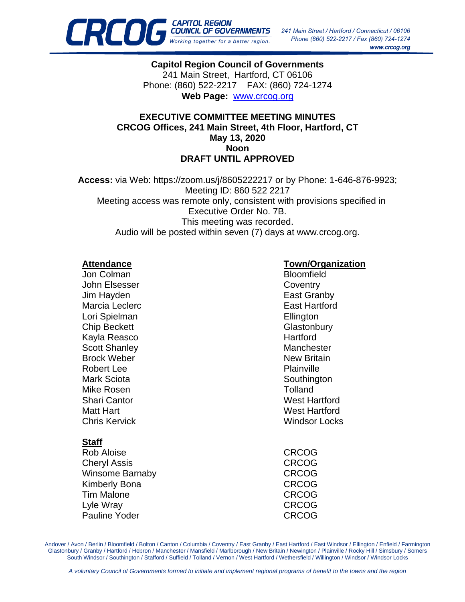

**Capitol Region Council of Governments** 241 Main Street, Hartford, CT 06106 Phone: (860) 522-2217 FAX: (860) 724-1274 **Web Page:** [www.crcog.org](http://www.crcog.org/)

#### **EXECUTIVE COMMITTEE MEETING MINUTES CRCOG Offices, 241 Main Street, 4th Floor, Hartford, CT May 13, 2020 Noon DRAFT UNTIL APPROVED**

**Access:** via Web: https://zoom.us/j/8605222217 or by Phone: 1-646-876-9923; Meeting ID: 860 522 2217 Meeting access was remote only, consistent with provisions specified in Executive Order No. 7B. This meeting was recorded. Audio will be posted within seven (7) days at www.crcog.org.

Jon Colman Bloomfield John Elsesser Coventry Jim Hayden **East Granby** Marcia Leclerc **East Hartford** Lori Spielman **Ellington** Chip Beckett Glastonbury Kayla Reasco **Hartford** Scott Shanley Manchester Brock Weber New Britain Robert Lee **Plainville** Mark Sciota **Southington** Southington Mike Rosen **Tolland** Shari Cantor Nest Hartford Matt Hart West Hartford Chris Kervick Windsor Locks

## **Staff**

Rob Aloise CRCOG Cheryl Assis CRCOG Winsome Barnaby **CRCOG** Kimberly Bona **CRCOG** Tim Malone CRCOG Lyle Wray CRCOG Pauline Yoder **CRCOG** 

# **Attendance Town/Organization**

Andover / Avon / Berlin / Bloomfield / Bolton / Canton / Columbia / Coventry / East Granby / East Hartford / East Windsor / Ellington / Enfield / Farmington Glastonbury / Granby / Hartford / Hebron / Manchester / Mansfield / Marlborough / New Britain / Newington / Plainville / Rocky Hill / Simsbury / Somers South Windsor / Southington / Stafford / Suffield / Tolland / Vernon / West Hartford / Wethersfield / Willington / Windsor / Windsor Locks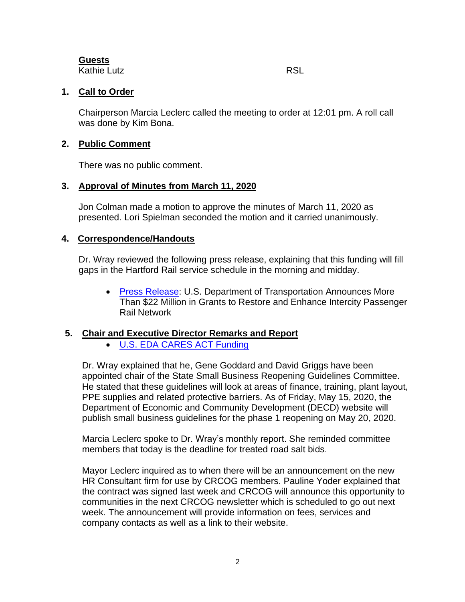**Guests** Kathie Lutz **Kathie Lutz** RSL

## **1. Call to Order**

Chairperson Marcia Leclerc called the meeting to order at 12:01 pm. A roll call was done by Kim Bona.

## **2. Public Comment**

There was no public comment.

## **3. Approval of Minutes from March 11, 2020**

Jon Colman made a motion to approve the minutes of March 11, 2020 as presented. Lori Spielman seconded the motion and it carried unanimously.

## **4. Correspondence/Handouts**

Dr. Wray reviewed the following press release, explaining that this funding will fill gaps in the Hartford Rail service schedule in the morning and midday.

• [Press Release:](https://crcog.org/wp-content/uploads/2019/12/FRA-Grant-Press-Release.pdf) U.S. Department of Transportation Announces More Than \$22 Million in Grants to Restore and Enhance Intercity Passenger Rail Network

# **5. Chair and Executive Director Remarks and Report**

• [U.S. EDA CARES ACT Funding](https://crcog.org/wp-content/uploads/2019/12/U.S.-EDA-CARES-ACT-Funding.pdf)

Dr. Wray explained that he, Gene Goddard and David Griggs have been appointed chair of the State Small Business Reopening Guidelines Committee. He stated that these guidelines will look at areas of finance, training, plant layout, PPE supplies and related protective barriers. As of Friday, May 15, 2020, the Department of Economic and Community Development (DECD) website will publish small business guidelines for the phase 1 reopening on May 20, 2020.

Marcia Leclerc spoke to Dr. Wray's monthly report. She reminded committee members that today is the deadline for treated road salt bids.

Mayor Leclerc inquired as to when there will be an announcement on the new HR Consultant firm for use by CRCOG members. Pauline Yoder explained that the contract was signed last week and CRCOG will announce this opportunity to communities in the next CRCOG newsletter which is scheduled to go out next week. The announcement will provide information on fees, services and company contacts as well as a link to their website.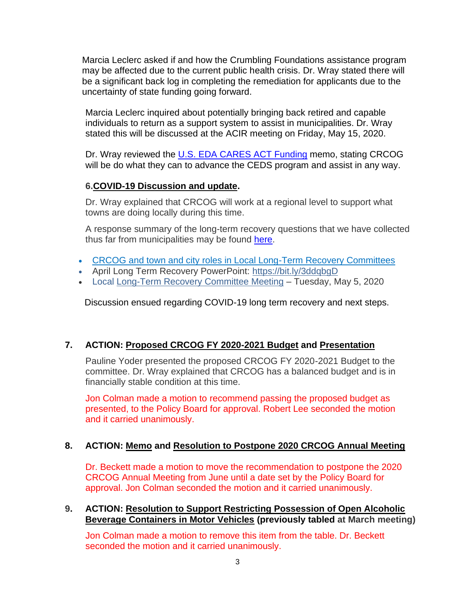Marcia Leclerc asked if and how the Crumbling Foundations assistance program may be affected due to the current public health crisis. Dr. Wray stated there will be a significant back log in completing the remediation for applicants due to the uncertainty of state funding going forward.

Marcia Leclerc inquired about potentially bringing back retired and capable individuals to return as a support system to assist in municipalities. Dr. Wray stated this will be discussed at the ACIR meeting on Friday, May 15, 2020.

Dr. Wray reviewed the [U.S. EDA CARES ACT Funding](https://crcog.org/wp-content/uploads/2019/12/U.S.-EDA-CARES-ACT-Funding.pdf) memo, stating CRCOG will be do what they can to advance the CEDS program and assist in any way.

# **6[.COVID-19 Discussion and update.](https://crcog.org/wp-content/uploads/2019/12/Exec-Committtee-COVID-CRCOG-plan.pdf)**

Dr. Wray explained that CRCOG will work at a regional level to support what towns are doing locally during this time.

A response summary of the long-term recovery questions that we have collected thus far from municipalities may be found [here.](https://crcog.org/wp-content/uploads/2019/12/LT-Recovery-Responses1.pdf)

- [CRCOG and town and city roles in Local Long-Term Recovery Committees](https://crcog.org/wp-content/uploads/2019/12/LT-Recovery-Responses1.pdf)
- April Long Term Recovery PowerPoint: <https://bit.ly/3ddqbgD>
- Local [Long-Term Recovery Committee Meeting](https://crcog.org/wp-content/uploads/2019/12/Regional-Long-Term-Recovery-Committee-Structure.pdf) Tuesday, May 5, 2020

Discussion ensued regarding COVID-19 long term recovery and next steps.

# **7. ACTION: [Proposed CRCOG FY 2020-2021 Budget](https://crcog.org/wp-content/uploads/2019/12/FY20-21Budget-1.pdf) and [Presentation](https://crcog.org/wp-content/uploads/2019/12/CRCOG-FY20-21-Budget-Highlights-PPT.pdf)**

Pauline Yoder presented the proposed CRCOG FY 2020-2021 Budget to the committee. Dr. Wray explained that CRCOG has a balanced budget and is in financially stable condition at this time.

Jon Colman made a motion to recommend passing the proposed budget as presented, to the Policy Board for approval. Robert Lee seconded the motion and it carried unanimously.

# **8. ACTION: [Memo](https://crcog.org/wp-content/uploads/2019/12/Exec-Committtee-and-PB-Annual-meeting-Delay-memo-1.pdf) and [Resolution to Postpone 2020 CRCOG Annual Meeting](https://crcog.org/wp-content/uploads/2019/12/AnnualMtgPostponeRESOLUTION-1.pdf)**

Dr. Beckett made a motion to move the recommendation to postpone the 2020 CRCOG Annual Meeting from June until a date set by the Policy Board for approval. Jon Colman seconded the motion and it carried unanimously.

## **9. ACTION: [Resolution to Support Restricting Possession of Open Alcoholic](https://crcog.org/wp-content/uploads/2019/12/2020-CRCOG-Resolution-Open-Containers-Illegal-draft-1.pdf)   [Beverage Containers in Motor Vehicles](https://crcog.org/wp-content/uploads/2019/12/2020-CRCOG-Resolution-Open-Containers-Illegal-draft-1.pdf) (previously tabled at March meeting)**

Jon Colman made a motion to remove this item from the table. Dr. Beckett seconded the motion and it carried unanimously.